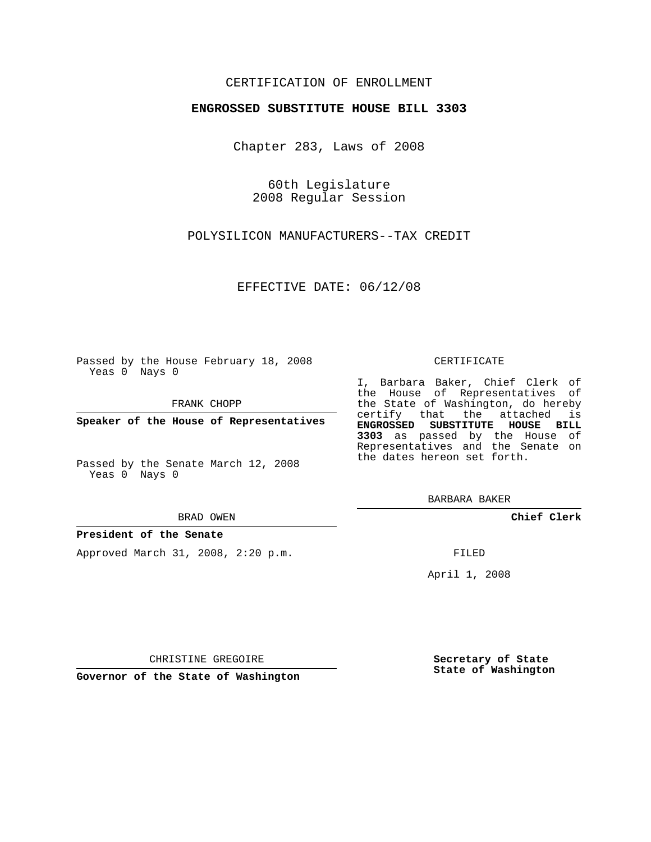# CERTIFICATION OF ENROLLMENT

## **ENGROSSED SUBSTITUTE HOUSE BILL 3303**

Chapter 283, Laws of 2008

60th Legislature 2008 Regular Session

POLYSILICON MANUFACTURERS--TAX CREDIT

EFFECTIVE DATE: 06/12/08

Passed by the House February 18, 2008 Yeas 0 Nays 0

FRANK CHOPP

**Speaker of the House of Representatives**

Passed by the Senate March 12, 2008 Yeas 0 Nays 0

BRAD OWEN

### **President of the Senate**

Approved March 31, 2008, 2:20 p.m.

#### CERTIFICATE

I, Barbara Baker, Chief Clerk of the House of Representatives of the State of Washington, do hereby certify that the attached is **ENGROSSED SUBSTITUTE HOUSE BILL 3303** as passed by the House of Representatives and the Senate on the dates hereon set forth.

BARBARA BAKER

**Chief Clerk**

FILED

April 1, 2008

CHRISTINE GREGOIRE

**Governor of the State of Washington**

**Secretary of State State of Washington**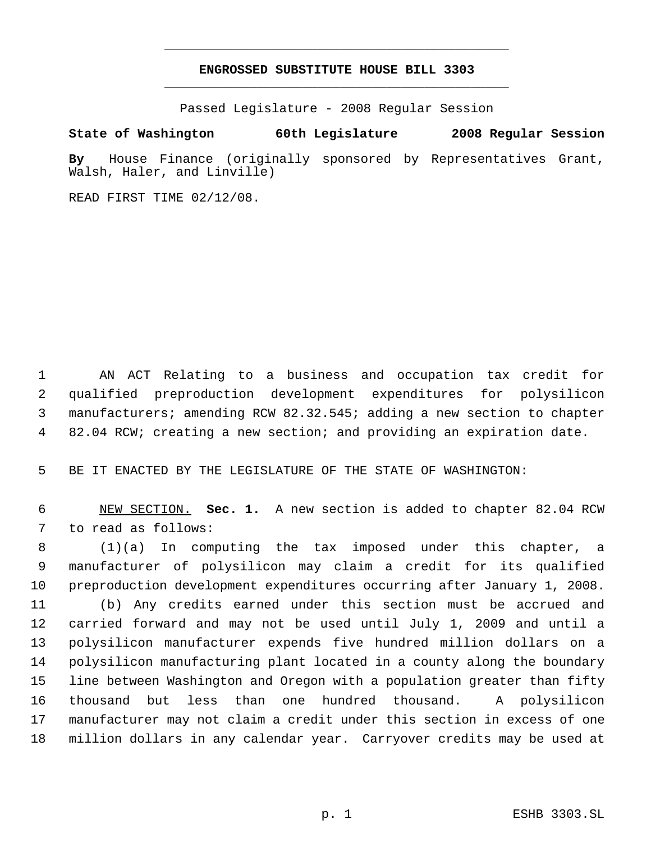# **ENGROSSED SUBSTITUTE HOUSE BILL 3303** \_\_\_\_\_\_\_\_\_\_\_\_\_\_\_\_\_\_\_\_\_\_\_\_\_\_\_\_\_\_\_\_\_\_\_\_\_\_\_\_\_\_\_\_\_

\_\_\_\_\_\_\_\_\_\_\_\_\_\_\_\_\_\_\_\_\_\_\_\_\_\_\_\_\_\_\_\_\_\_\_\_\_\_\_\_\_\_\_\_\_

Passed Legislature - 2008 Regular Session

## **State of Washington 60th Legislature 2008 Regular Session**

**By** House Finance (originally sponsored by Representatives Grant, Walsh, Haler, and Linville)

READ FIRST TIME 02/12/08.

 AN ACT Relating to a business and occupation tax credit for qualified preproduction development expenditures for polysilicon manufacturers; amending RCW 82.32.545; adding a new section to chapter 82.04 RCW; creating a new section; and providing an expiration date.

BE IT ENACTED BY THE LEGISLATURE OF THE STATE OF WASHINGTON:

 NEW SECTION. **Sec. 1.** A new section is added to chapter 82.04 RCW to read as follows:

 (1)(a) In computing the tax imposed under this chapter, a manufacturer of polysilicon may claim a credit for its qualified preproduction development expenditures occurring after January 1, 2008. (b) Any credits earned under this section must be accrued and carried forward and may not be used until July 1, 2009 and until a polysilicon manufacturer expends five hundred million dollars on a polysilicon manufacturing plant located in a county along the boundary line between Washington and Oregon with a population greater than fifty thousand but less than one hundred thousand. A polysilicon manufacturer may not claim a credit under this section in excess of one million dollars in any calendar year. Carryover credits may be used at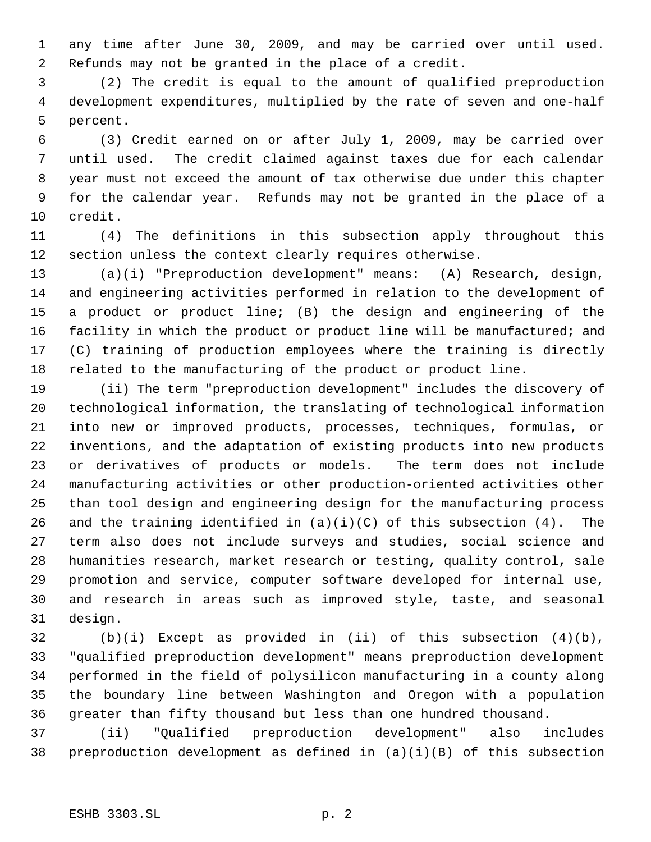any time after June 30, 2009, and may be carried over until used. Refunds may not be granted in the place of a credit.

 (2) The credit is equal to the amount of qualified preproduction development expenditures, multiplied by the rate of seven and one-half percent.

 (3) Credit earned on or after July 1, 2009, may be carried over until used. The credit claimed against taxes due for each calendar year must not exceed the amount of tax otherwise due under this chapter for the calendar year. Refunds may not be granted in the place of a credit.

 (4) The definitions in this subsection apply throughout this section unless the context clearly requires otherwise.

 (a)(i) "Preproduction development" means: (A) Research, design, and engineering activities performed in relation to the development of a product or product line; (B) the design and engineering of the facility in which the product or product line will be manufactured; and (C) training of production employees where the training is directly related to the manufacturing of the product or product line.

 (ii) The term "preproduction development" includes the discovery of technological information, the translating of technological information into new or improved products, processes, techniques, formulas, or inventions, and the adaptation of existing products into new products or derivatives of products or models. The term does not include manufacturing activities or other production-oriented activities other than tool design and engineering design for the manufacturing process 26 and the training identified in  $(a)(i)(C)$  of this subsection  $(4)$ . The term also does not include surveys and studies, social science and humanities research, market research or testing, quality control, sale promotion and service, computer software developed for internal use, and research in areas such as improved style, taste, and seasonal design.

 (b)(i) Except as provided in (ii) of this subsection (4)(b), "qualified preproduction development" means preproduction development performed in the field of polysilicon manufacturing in a county along the boundary line between Washington and Oregon with a population greater than fifty thousand but less than one hundred thousand.

 (ii) "Qualified preproduction development" also includes preproduction development as defined in (a)(i)(B) of this subsection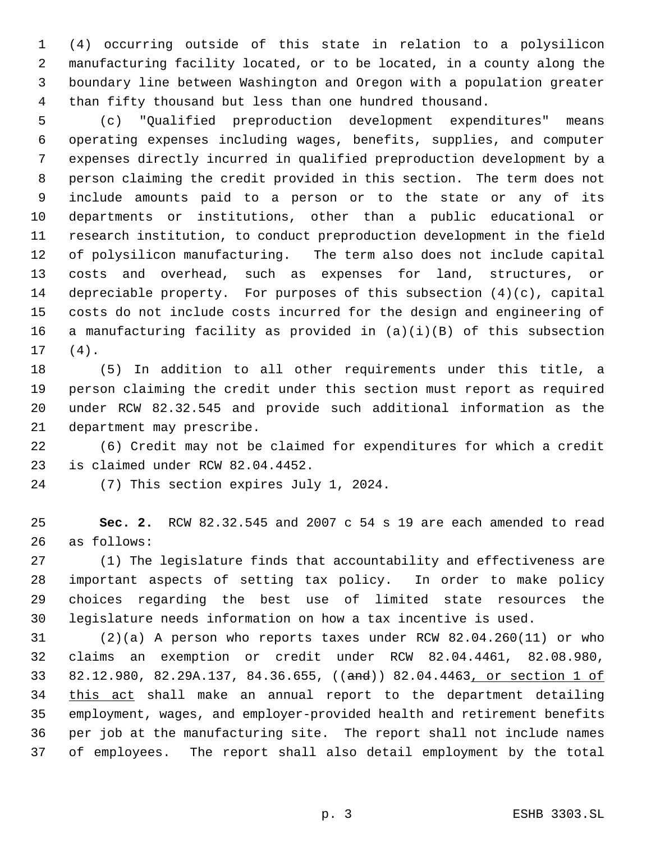(4) occurring outside of this state in relation to a polysilicon manufacturing facility located, or to be located, in a county along the boundary line between Washington and Oregon with a population greater than fifty thousand but less than one hundred thousand.

 (c) "Qualified preproduction development expenditures" means operating expenses including wages, benefits, supplies, and computer expenses directly incurred in qualified preproduction development by a person claiming the credit provided in this section. The term does not include amounts paid to a person or to the state or any of its departments or institutions, other than a public educational or research institution, to conduct preproduction development in the field of polysilicon manufacturing. The term also does not include capital costs and overhead, such as expenses for land, structures, or depreciable property. For purposes of this subsection (4)(c), capital costs do not include costs incurred for the design and engineering of a manufacturing facility as provided in (a)(i)(B) of this subsection (4).

 (5) In addition to all other requirements under this title, a person claiming the credit under this section must report as required under RCW 82.32.545 and provide such additional information as the department may prescribe.

 (6) Credit may not be claimed for expenditures for which a credit is claimed under RCW 82.04.4452.

(7) This section expires July 1, 2024.

 **Sec. 2.** RCW 82.32.545 and 2007 c 54 s 19 are each amended to read as follows:

 (1) The legislature finds that accountability and effectiveness are important aspects of setting tax policy. In order to make policy choices regarding the best use of limited state resources the legislature needs information on how a tax incentive is used.

 (2)(a) A person who reports taxes under RCW 82.04.260(11) or who claims an exemption or credit under RCW 82.04.4461, 82.08.980, 82.12.980, 82.29A.137, 84.36.655, ((and)) 82.04.4463, or section 1 of 34 this act shall make an annual report to the department detailing employment, wages, and employer-provided health and retirement benefits per job at the manufacturing site. The report shall not include names of employees. The report shall also detail employment by the total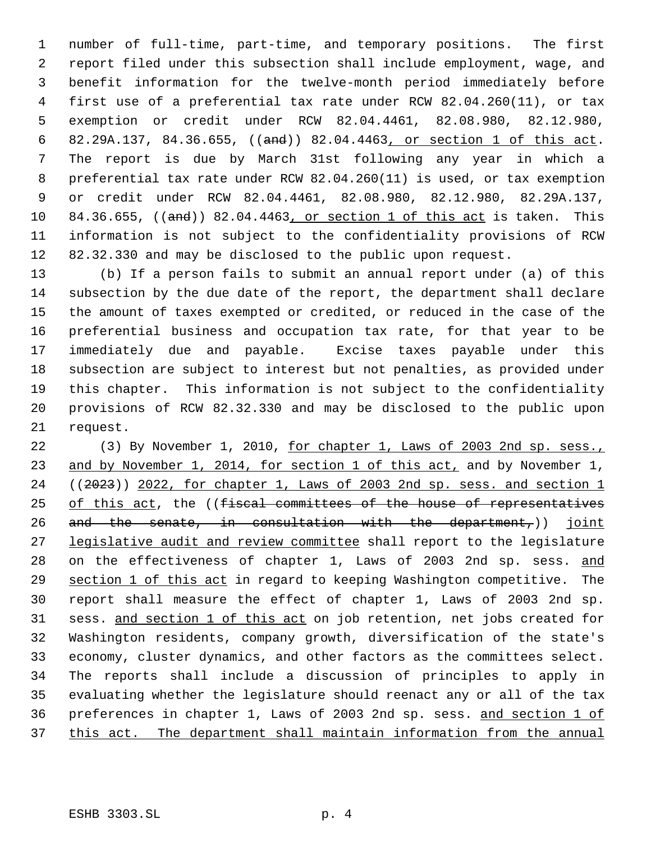number of full-time, part-time, and temporary positions. The first report filed under this subsection shall include employment, wage, and benefit information for the twelve-month period immediately before first use of a preferential tax rate under RCW 82.04.260(11), or tax exemption or credit under RCW 82.04.4461, 82.08.980, 82.12.980, 82.29A.137, 84.36.655, ((and)) 82.04.4463, or section 1 of this act. The report is due by March 31st following any year in which a preferential tax rate under RCW 82.04.260(11) is used, or tax exemption or credit under RCW 82.04.4461, 82.08.980, 82.12.980, 82.29A.137, 10 84.36.655, ((and)) 82.04.4463, or section 1 of this act is taken. This information is not subject to the confidentiality provisions of RCW 82.32.330 and may be disclosed to the public upon request.

 (b) If a person fails to submit an annual report under (a) of this subsection by the due date of the report, the department shall declare the amount of taxes exempted or credited, or reduced in the case of the preferential business and occupation tax rate, for that year to be immediately due and payable. Excise taxes payable under this subsection are subject to interest but not penalties, as provided under this chapter. This information is not subject to the confidentiality provisions of RCW 82.32.330 and may be disclosed to the public upon request.

22 (3) By November 1, 2010, for chapter 1, Laws of 2003 2nd sp. sess., and by November 1, 2014, for section 1 of this act, and by November 1, ((2023)) 2022, for chapter 1, Laws of 2003 2nd sp. sess. and section 1 25 of this act, the ((fiscal committees of the house of representatives 26 and the senate, in consultation with the department,) joint 27 legislative audit and review committee shall report to the legislature 28 on the effectiveness of chapter 1, Laws of 2003 2nd sp. sess. and section 1 of this act in regard to keeping Washington competitive. The report shall measure the effect of chapter 1, Laws of 2003 2nd sp. sess. and section 1 of this act on job retention, net jobs created for Washington residents, company growth, diversification of the state's economy, cluster dynamics, and other factors as the committees select. The reports shall include a discussion of principles to apply in evaluating whether the legislature should reenact any or all of the tax preferences in chapter 1, Laws of 2003 2nd sp. sess. and section 1 of this act. The department shall maintain information from the annual